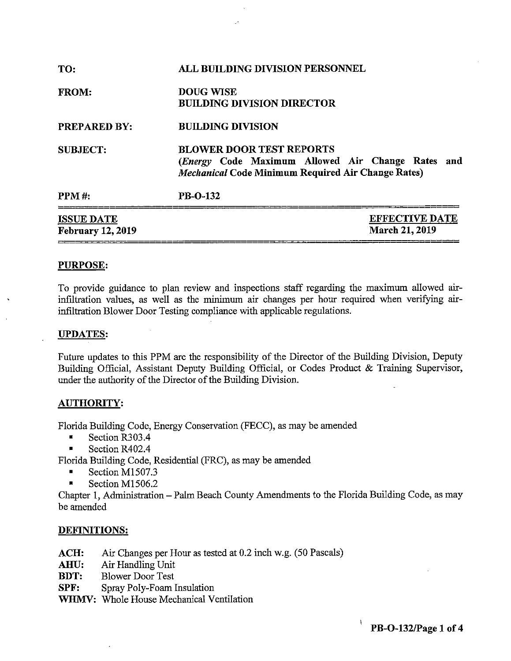| TO:                                           | <b>ALL BUILDING DIVISION PERSONNEL</b>                                                                                                            |  |  |  |
|-----------------------------------------------|---------------------------------------------------------------------------------------------------------------------------------------------------|--|--|--|
| <b>FROM:</b>                                  | <b>DOUG WISE</b><br><b>BUILDING DIVISION DIRECTOR</b>                                                                                             |  |  |  |
| <b>PREPARED BY:</b>                           | <b>BUILDING DIVISION</b>                                                                                                                          |  |  |  |
| <b>SUBJECT:</b>                               | <b>BLOWER DOOR TEST REPORTS</b><br>(Energy Code Maximum Allowed Air Change Rates and<br><b>Mechanical Code Minimum Required Air Change Rates)</b> |  |  |  |
| <b>PPM#:</b>                                  | PB-O-132                                                                                                                                          |  |  |  |
| <b>ISSUE DATE</b><br><b>February 12, 2019</b> | <b>EFFECTIVE DATE</b><br><b>March 21, 2019</b>                                                                                                    |  |  |  |

### **PURPOSE:**

To provide guidance to plan review and inspections staff regarding the maximum allowed airinfiltration values, as well as the minimum air changes per hour required when verifying airinfiltration Blower Door Testing compliance with applicable regulations.

#### **UPDATES:**

Future updates to this PPM are the responsibility of the Director of the Building Division, Deputy Building Official, Assistant Deputy Building Official, or Codes Product & Training Supervisor, under the authority of the Director of the Building Division.

#### **AUTHORITY:**

Florida Building Code, Energy Conservation (FECC), as may be amended

- Section R303.4
- Section R402.4

Florida Building Code, Residential (FRC), as may be amended

- Section M1507.3
- Section M1506.2

Chapter I, Administration - Palm Beach County Amendments to the Florida Building Code, as may be amended

#### **DEFINITIONS:**

- **ACH:** Air Changes per Hour as tested at 0.2 inch w.g. (50 Pascals)
- **AHU:** Air Handling Unit
- **BDT:** Blower Door Test
- **SPF:** Spray Poly-Foam Insulation
- **WHMV:** Whole House Mechanical Ventilation

I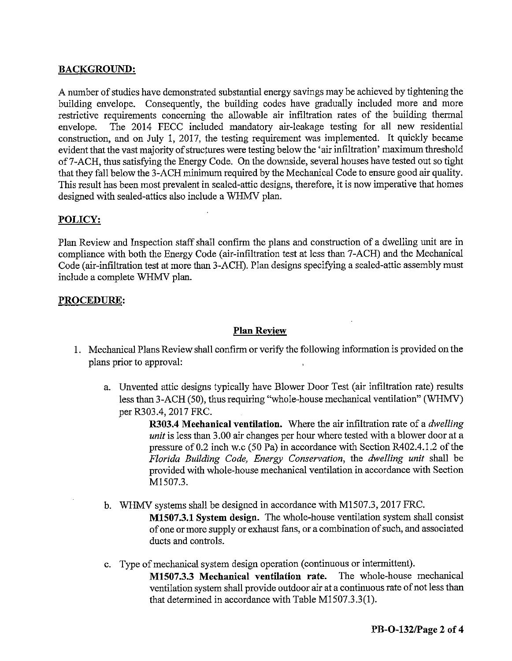# **BACKGROUND:**

A number of studies have demonstrated substantial energy savings may be achieved by tightening the building envelope. Consequently, the building codes have gradually included more and more restrictive requirements concerning the allowable air infiltration rates of the building thermal envelope. The 2014 FECC included mandatory air-leakage testing for all new residential construction, and on July 1, 2017, the testing requirement was implemented. It quickly became evident that the vast majority of structures were testing below the 'air infiltration' maximum threshold of7-ACH, thus satisfying the Energy Code. On the downside, several houses have tested out so tight that they fall below the 3-ACH minimum required by the Mechanical Code to ensure good air quality. This result has been most prevalent in sealed-attic designs, therefore, it is now imperative that homes designed with sealed-attics also include a WHMV plan.

## **POLICY:**

Plan Review and Inspection staff shall confirm the plans and construction of a dwelling unit are in compliance with both the Energy Code (air-infiltration test at less than 7-ACH) and the Mechanical Code (air-infiltration test at more than 3-ACH). Plan designs specifying a sealed-attic assembly must include a complete WHMV plan.

## **PROCEDURE:**

## **Plan Review**

- 1. Mechanical Plans Review shall confirm or verify the following information is provided on the plans prior to approval:
	- a. Unvented attic designs typically have Blower Door Test (air infiltration rate) results less than 3-ACH (50), thus requiring "whole-house mechanical ventilation" (WHMV) per R303.4, 2017 FRC.

**R303.4 Mechanical ventilation.** Where the air infiltration rate of a *dwelling unit* is less than 3.00 air changes per hour where tested with a blower door at a pressure of0.2 inch w.c (50 Pa) in accordance with Section R402.4.l.2 of the *Florida Building Code, Energy Conservation,* the *dwelling unit* shall be provided with whole-house mechanical ventilation in accordance with Section Ml507.3.

- b. WHMV systems shall be designed in accordance with M1507.3, 2017 FRC. **M1507.3.1 System design.** The whole-house ventilation system shall consist of one or more supply or exhaust fans, or a combination of such, and associated ducts and controls.
- c. Type of mechanical system design operation ( continuous or intermittent). **M1507.3.3 Mechanical ventilation rate.** The whole-house mechanical ventilation system shall provide outdoor air at a continuous rate of not less than that determined in accordance with Table M1507.3.3(1).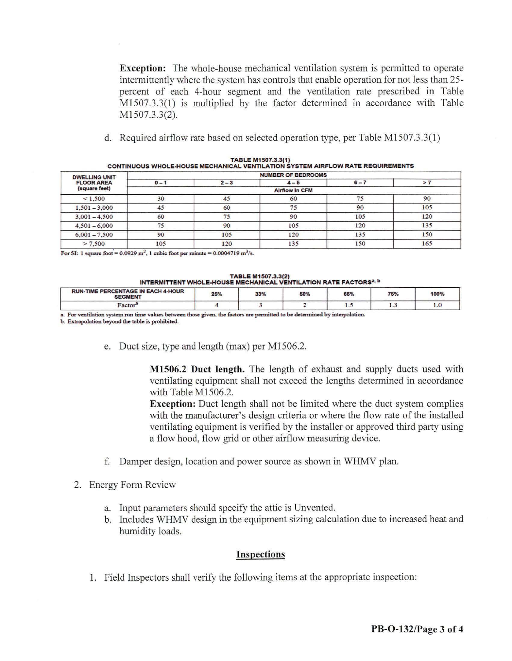**Exception:** The whole-house mechanical ventilation system is permitted to operate intermittently where the system has controls that enable operation for not less than 25 percent of each 4-hour segment and the ventilation rate prescribed in Table Ml 507 .3 .3(1) is multiplied by the factor determined in accordance with Table M1507.3.3(2).

d. Required airflow rate based on selected operation type, per Table M1507.3.3(1)

| <b>DWELLING UNIT</b><br><b>FLOOR AREA</b> | <b>NUMBER OF BEDROOMS</b> |         |         |         |     |  |
|-------------------------------------------|---------------------------|---------|---------|---------|-----|--|
|                                           | $0 - 1$                   | $2 - 3$ | $4 - 5$ | $6 - 7$ | >7  |  |
| (square feet)                             | <b>Airflow in CFM</b>     |         |         |         |     |  |
| < 1.500                                   | 30                        | 45      | 60      | 75      | 90  |  |
| $1,501 - 3,000$                           | 45                        | 60      | 75      | 90      | 105 |  |
| $3.001 - 4.500$                           | 60                        | 75      | 90      | 105     | 120 |  |
| $4,501 - 6,000$                           | 75                        | 90      | 105     | 120     | 135 |  |
| $6,001 - 7,500$                           | 90                        | 105     | 120     | 135     | 150 |  |
| > 7,500                                   | 105                       | 120     | 135     | 150     | 165 |  |

| <b>TABLE M1507.3.3(1)</b>                                                       |  |  |  |  |  |
|---------------------------------------------------------------------------------|--|--|--|--|--|
| CONTINUOUS WHOLE HOUSE MECHANICAL VENTILATION SYSTEM AIRFLOW RATE REQUIREMENTS. |  |  |  |  |  |

For SI: 1 square foot =  $0.0929$  m<sup>2</sup>, 1 cubic foot per minute =  $0.0004719$  m<sup>3</sup>/s.

| <b>TABLE M1507.3.3(2)</b>                                                    |  |  |  |  |  |  |
|------------------------------------------------------------------------------|--|--|--|--|--|--|
| INTERMITTENT WHOLE-HOUSE MECHANICAL VENTILATION RATE FACTORS <sup>a, b</sup> |  |  |  |  |  |  |

| <b>RUN-TIME PERCENTAGE IN EACH 4-HOUR</b><br><b>SEGMENT</b> | 25% | 33% | 50% | 66% | 75%                   | 100% |
|-------------------------------------------------------------|-----|-----|-----|-----|-----------------------|------|
| Factor <sup>a</sup>                                         |     |     |     | .   | $\lambda$ . $\lambda$ | 1.0  |

**a.** For ventilation system run time values between those given, the factors are permitted to be determined by interpolation.

**b. Extrapolation beyond the table:** is **prohibited.** 

e. Duct size, type and length (max) per Ml506.2.

**M1506.2 Duct length.** The length of exhaust and supply ducts used with ventilating equipment shall not exceed the lengths determined in accordance with Table M1506.2.

**Exception:** Duct length shall not be limited where the duct system complies with the manufacturer's design criteria or where the flow rate of the installed ventilating equipment is verified by the installer or approved third party using a flow hood, flow grid or other airflow measuring device.

- f. Damper design, location and power source as shown in WHMV plan.
- 2. Energy Form Review
	- a. Input parameters should specify the attic is Unvented.
	- b. Includes WHMV design in the equipment sizing calculation due to increased heat and humidity loads.

#### **Inspections**

1. Field Inspectors shall verify the following items at the appropriate inspection: